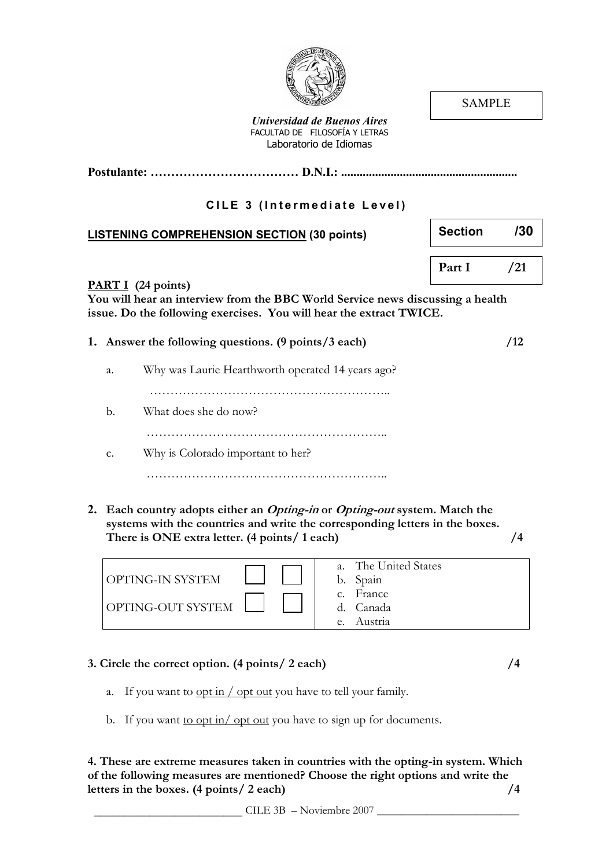SAMPLE

Postulante: ……………………………… D.N.I.: ......................................................... Universidad de Buenos Aires FACULTAD DE FILOSOFÍA Y LETRAS Laboratorio de Idiomas CILE 3 (Intermediate Level) LISTENING COMPREHENSION SECTION (30 points) PART I (24 points) You will hear an interview from the BBC World Service news discussing a health issue. Do the following exercises. You will hear the extract TWICE. 1. Answer the following questions. (9 points/3 each)  $/12$ a. Why was Laurie Hearthworth operated 14 years ago? ………………………………………………….. b. What does she do now? ………………………………………………….. c. Why is Colorado important to her? ………………………………………………….. 2. Each country adopts either an *Opting-in* or *Opting-out* system. Match the systems with the countries and write the corresponding letters in the boxes. There is ONE extra letter. (4 points/ 1 each)  $/4$ Section /30 Part I /21

| OPTING-IN SYSTEM  | The United States<br>$a_{\cdot}$<br>b. Spain          |
|-------------------|-------------------------------------------------------|
| OPTING-OUT SYSTEM | France<br>C.<br>Canada<br>d.<br>Austria<br>$\epsilon$ |

### 3. Circle the correct option. (4 points/ 2 each) /4

- a. If you want to  $\frac{\text{opt in}}{\text{opt out}}$  you have to tell your family.
- b. If you want <u>to opt in/opt out</u> you have to sign up for documents.

4. These are extreme measures taken in countries with the opting-in system. Which of the following measures are mentioned? Choose the right options and write the letters in the boxes. (4 points/ 2 each) /4